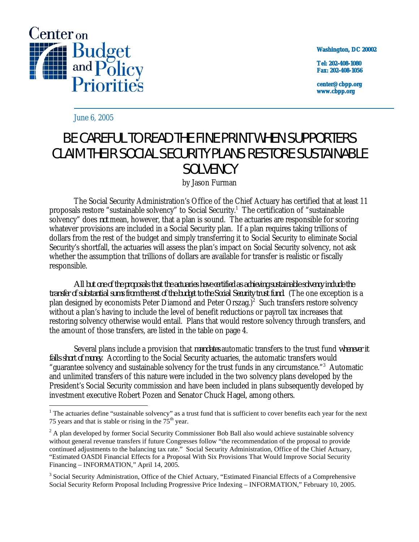

**Washington, DC 20002**

**Tel: 202-408-1080 Fax: 202-408-1056**

**center@cbpp.org www.cbpp.org**

June 6, 2005

 $\overline{a}$ 

## BE CAREFUL TO READ THE FINE PRINT WHEN SUPPORTERS CLAIM THEIR SOCIAL SECURITY PLANS RESTORE SUSTAINABLE SOLVENCY by Jason Furman

The Social Security Administration's Office of the Chief Actuary has certified that at least 11 proposals restore "sustainable solvency" to Social Security.<sup>1</sup> The certification of "sustainable solvency" does *not* mean, however, that a plan is sound. The actuaries are responsible for scoring whatever provisions are included in a Social Security plan. If a plan requires taking trillions of dollars from the rest of the budget and simply transferring it to Social Security to eliminate Social Security's shortfall, the actuaries will assess the plan's impact on Social Security solvency, not ask whether the assumption that trillions of dollars are available for transfer is realistic or fiscally responsible.

*All but one of the proposals that the actuaries have certified as achieving sustainable solvency include the transfer of substantial sums from the rest of the budget to the Social Security trust fund.* (The one exception is a plan designed by economists Peter Diamond and Peter Orszag.)<sup>2</sup> Such transfers restore solvency without a plan's having to include the level of benefit reductions or payroll tax increases that restoring solvency otherwise would entail. Plans that would restore solvency through transfers, and the amount of those transfers, are listed in the table on page 4.

Several plans include a provision that *mandates* automatic transfers to the trust fund *whenever it falls short of money.* According to the Social Security actuaries, the automatic transfers would "guarantee solvency and sustainable solvency for the trust funds in any circumstance."<sup>3</sup> Automatic and unlimited transfers of this nature were included in the two solvency plans developed by the President's Social Security commission and have been included in plans subsequently developed by investment executive Robert Pozen and Senator Chuck Hagel, among others.

<sup>&</sup>lt;sup>1</sup> The actuaries define "sustainable solvency" as a trust fund that is sufficient to cover benefits each year for the next 75 years and that is stable or rising in the  $75<sup>th</sup>$  year.

 $2A$  plan developed by former Social Security Commissioner Bob Ball also would achieve sustainable solvency without general revenue transfers if future Congresses follow "the recommendation of the proposal to provide continued adjustments to the balancing tax rate." Social Security Administration, Office of the Chief Actuary, "Estimated OASDI Financial Effects for a Proposal With Six Provisions That Would Improve Social Security Financing – INFORMATION," April 14, 2005.

<sup>&</sup>lt;sup>3</sup> Social Security Administration, Office of the Chief Actuary, "Estimated Financial Effects of a Comprehensive Social Security Reform Proposal Including Progressive Price Indexing – INFORMATION," February 10, 2005.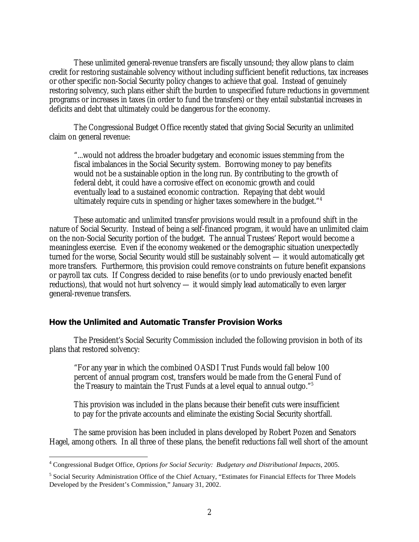These unlimited general-revenue transfers are fiscally unsound; they allow plans to claim credit for restoring sustainable solvency without including sufficient benefit reductions, tax increases or other specific non-Social Security policy changes to achieve that goal. Instead of genuinely restoring solvency, such plans either shift the burden to unspecified future reductions in government programs or increases in taxes (in order to fund the transfers) or they entail substantial increases in deficits and debt that ultimately could be dangerous for the economy.

The Congressional Budget Office recently stated that giving Social Security an unlimited claim on general revenue:

"...would not address the broader budgetary and economic issues stemming from the fiscal imbalances in the Social Security system. Borrowing money to pay benefits would not be a sustainable option in the long run. By contributing to the growth of federal debt, it could have a corrosive effect on economic growth and could eventually lead to a sustained economic contraction. Repaying that debt would ultimately require cuts in spending or higher taxes somewhere in the budget."4

These automatic and unlimited transfer provisions would result in a profound shift in the nature of Social Security. Instead of being a self-financed program, it would have an unlimited claim on the non-Social Security portion of the budget. The annual Trustees' Report would become a meaningless exercise. Even if the economy weakened or the demographic situation unexpectedly turned for the worse, Social Security would still be sustainably solvent — it would automatically get more transfers. Furthermore, this provision could remove constraints on future benefit expansions or payroll tax cuts. If Congress decided to raise benefits (or to undo previously enacted benefit reductions), that would not hurt solvency — it would simply lead automatically to even larger general-revenue transfers.

## **How the Unlimited and Automatic Transfer Provision Works**

The President's Social Security Commission included the following provision in both of its plans that restored solvency:

"For any year in which the combined OASDI Trust Funds would fall below 100 percent of annual program cost, transfers would be made from the General Fund of the Treasury to maintain the Trust Funds at a level equal to annual outgo."5

This provision was included in the plans because their benefit cuts were insufficient to pay for the private accounts and eliminate the existing Social Security shortfall.

The same provision has been included in plans developed by Robert Pozen and Senators Hagel, among others. In all three of these plans, the benefit reductions fall well short of the amount

 4 Congressional Budget Office, *Options for Social Security: Budgetary and Distributional Impacts*, 2005.

<sup>&</sup>lt;sup>5</sup> Social Security Administration Office of the Chief Actuary, "Estimates for Financial Effects for Three Models Developed by the President's Commission," January 31, 2002.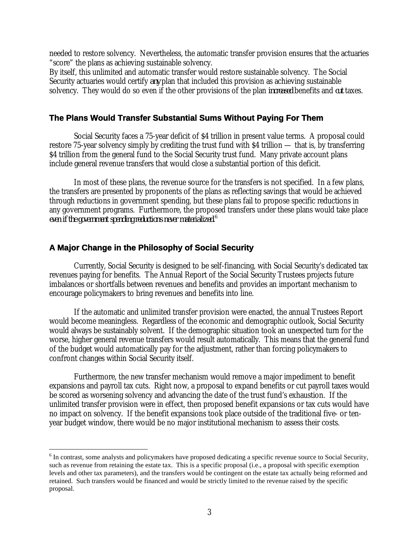needed to restore solvency. Nevertheless, the automatic transfer provision ensures that the actuaries "score" the plans as achieving sustainable solvency.

By itself, this unlimited and automatic transfer would restore sustainable solvency. The Social Security actuaries would certify *any* plan that included this provision as achieving sustainable solvency. They would do so even if the other provisions of the plan *increased* benefits and *cut* taxes.

## **The Plans Would Transfer Substantial Sums Without Paying For Them**

Social Security faces a 75-year deficit of \$4 trillion in present value terms. A proposal could restore 75-year solvency simply by crediting the trust fund with \$4 trillion — that is, by transferring \$4 trillion from the general fund to the Social Security trust fund. Many private account plans include general revenue transfers that would close a substantial portion of this deficit.

In most of these plans, the revenue source for the transfers is not specified. In a few plans, the transfers are presented by proponents of the plans as reflecting savings that would be achieved through reductions in government spending, but these plans fail to propose specific reductions in any government programs. Furthermore, the proposed transfers under these plans would take place *even if the government spending reductions never materialized.6*

## **A Major Change in the Philosophy of Social Security**

 $\overline{a}$ 

Currently, Social Security is designed to be self-financing, with Social Security's dedicated tax revenues paying for benefits. The Annual Report of the Social Security Trustees projects future imbalances or shortfalls between revenues and benefits and provides an important mechanism to encourage policymakers to bring revenues and benefits into line.

If the automatic and unlimited transfer provision were enacted, the annual Trustees Report would become meaningless. Regardless of the economic and demographic outlook, Social Security would always be sustainably solvent. If the demographic situation took an unexpected turn for the worse, higher general revenue transfers would result automatically. This means that the general fund of the budget would automatically pay for the adjustment, rather than forcing policymakers to confront changes within Social Security itself.

Furthermore, the new transfer mechanism would remove a major impediment to benefit expansions and payroll tax cuts. Right now, a proposal to expand benefits or cut payroll taxes would be scored as worsening solvency and advancing the date of the trust fund's exhaustion. If the unlimited transfer provision were in effect, then proposed benefit expansions or tax cuts would have no impact on solvency. If the benefit expansions took place outside of the traditional five- or tenyear budget window, there would be no major institutional mechanism to assess their costs.

 $6$  In contrast, some analysts and policymakers have proposed dedicating a specific revenue source to Social Security, such as revenue from retaining the estate tax. This is a specific proposal (i.e., a proposal with specific exemption levels and other tax parameters), and the transfers would be contingent on the estate tax actually being reformed and retained. Such transfers would be financed and would be strictly limited to the revenue raised by the specific proposal.